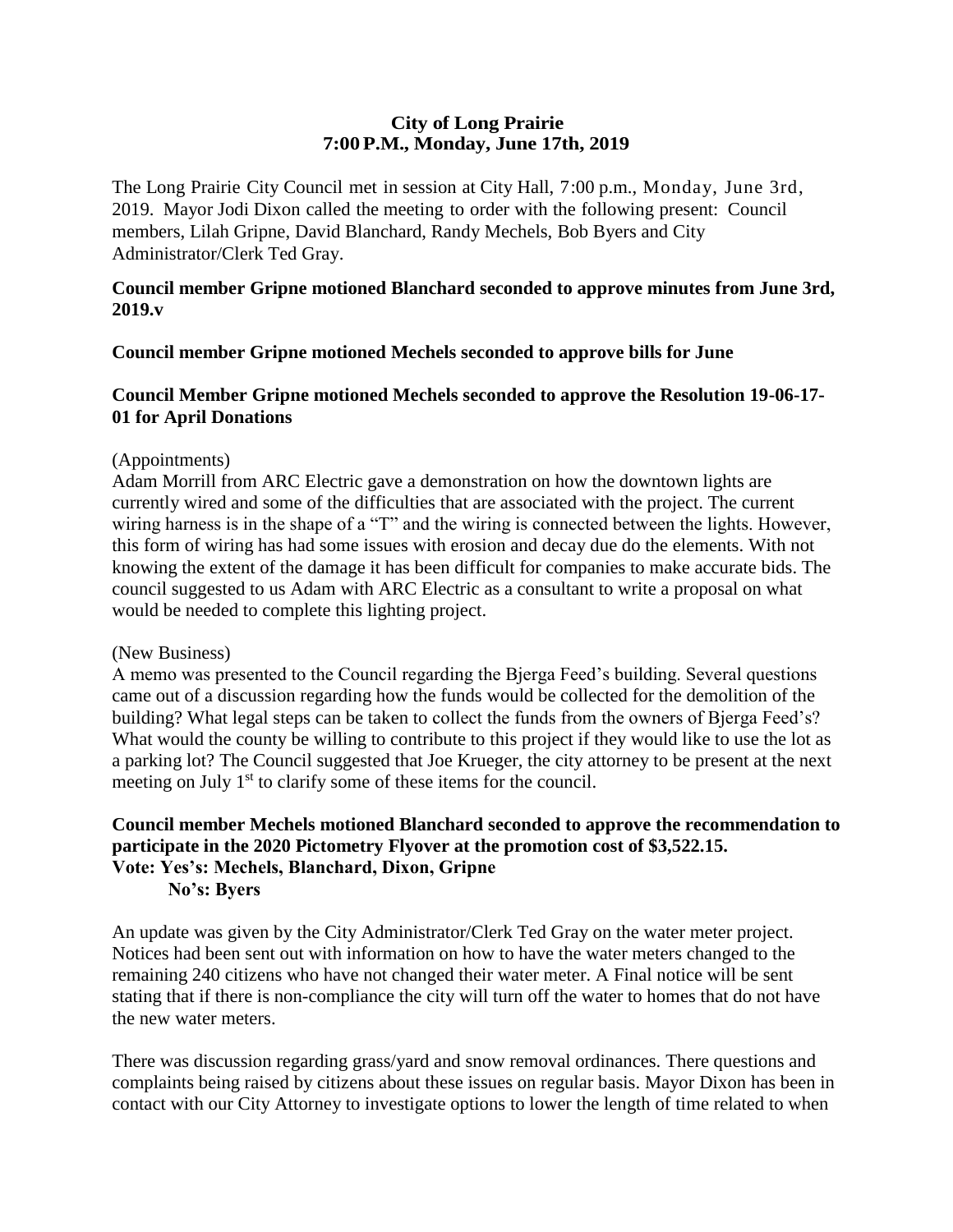# **City of Long Prairie 7:00P.M., Monday, June 17th, 2019**

The Long Prairie City Council met in session at City Hall, 7:00 p.m., Monday, June 3rd, 2019. Mayor Jodi Dixon called the meeting to order with the following present: Council members, Lilah Gripne, David Blanchard, Randy Mechels, Bob Byers and City Administrator/Clerk Ted Gray.

## **Council member Gripne motioned Blanchard seconded to approve minutes from June 3rd, 2019.v**

## **Council member Gripne motioned Mechels seconded to approve bills for June**

# **Council Member Gripne motioned Mechels seconded to approve the Resolution 19-06-17- 01 for April Donations**

### (Appointments)

Adam Morrill from ARC Electric gave a demonstration on how the downtown lights are currently wired and some of the difficulties that are associated with the project. The current wiring harness is in the shape of a "T" and the wiring is connected between the lights. However, this form of wiring has had some issues with erosion and decay due do the elements. With not knowing the extent of the damage it has been difficult for companies to make accurate bids. The council suggested to us Adam with ARC Electric as a consultant to write a proposal on what would be needed to complete this lighting project.

### (New Business)

A memo was presented to the Council regarding the Bjerga Feed's building. Several questions came out of a discussion regarding how the funds would be collected for the demolition of the building? What legal steps can be taken to collect the funds from the owners of Bjerga Feed's? What would the county be willing to contribute to this project if they would like to use the lot as a parking lot? The Council suggested that Joe Krueger, the city attorney to be present at the next meeting on July 1<sup>st</sup> to clarify some of these items for the council.

### **Council member Mechels motioned Blanchard seconded to approve the recommendation to participate in the 2020 Pictometry Flyover at the promotion cost of \$3,522.15. Vote: Yes's: Mechels, Blanchard, Dixon, Gripne No's: Byers**

An update was given by the City Administrator/Clerk Ted Gray on the water meter project. Notices had been sent out with information on how to have the water meters changed to the remaining 240 citizens who have not changed their water meter. A Final notice will be sent stating that if there is non-compliance the city will turn off the water to homes that do not have the new water meters.

There was discussion regarding grass/yard and snow removal ordinances. There questions and complaints being raised by citizens about these issues on regular basis. Mayor Dixon has been in contact with our City Attorney to investigate options to lower the length of time related to when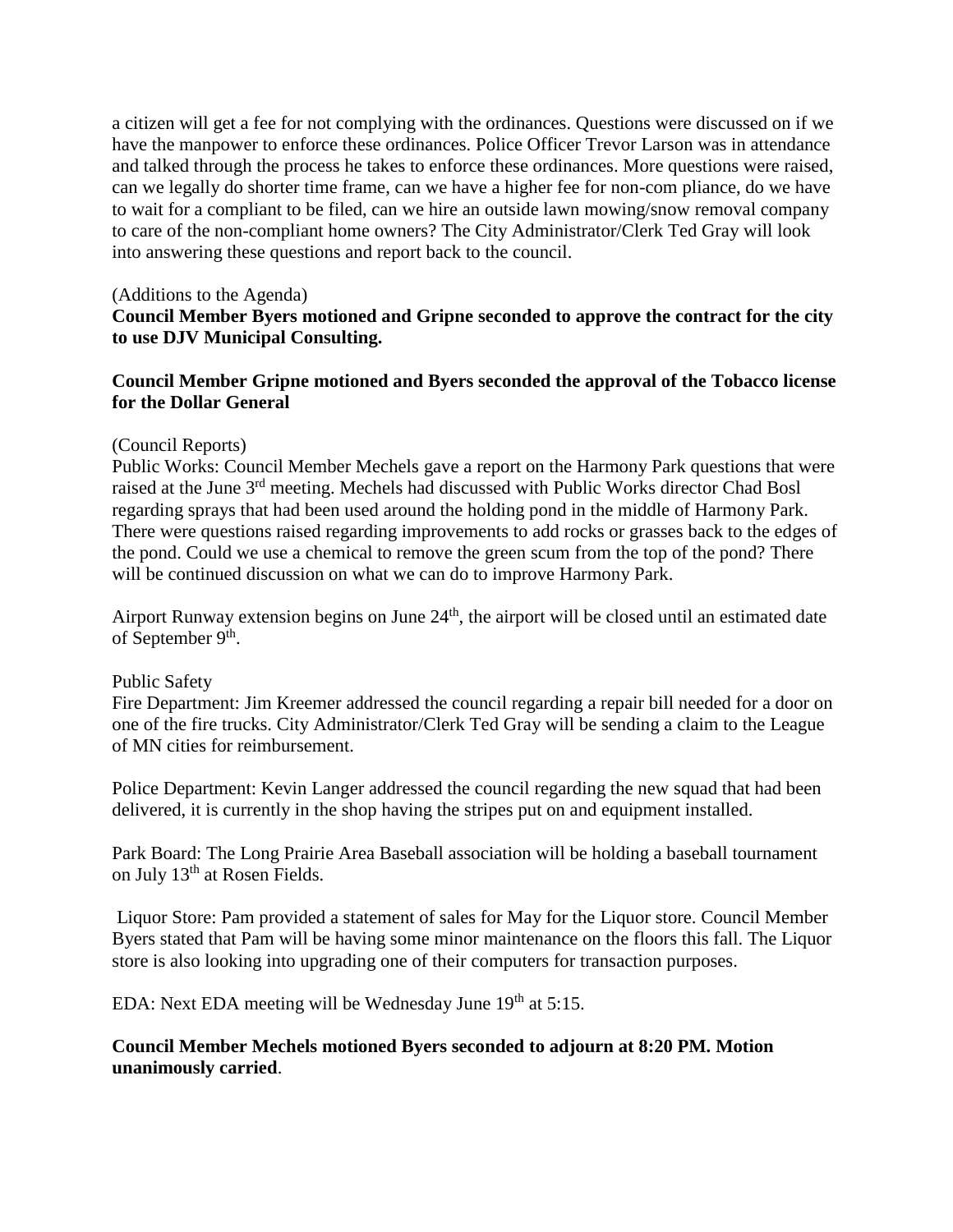a citizen will get a fee for not complying with the ordinances. Questions were discussed on if we have the manpower to enforce these ordinances. Police Officer Trevor Larson was in attendance and talked through the process he takes to enforce these ordinances. More questions were raised, can we legally do shorter time frame, can we have a higher fee for non-com pliance, do we have to wait for a compliant to be filed, can we hire an outside lawn mowing/snow removal company to care of the non-compliant home owners? The City Administrator/Clerk Ted Gray will look into answering these questions and report back to the council.

### (Additions to the Agenda)

# **Council Member Byers motioned and Gripne seconded to approve the contract for the city to use DJV Municipal Consulting.**

## **Council Member Gripne motioned and Byers seconded the approval of the Tobacco license for the Dollar General**

#### (Council Reports)

Public Works: Council Member Mechels gave a report on the Harmony Park questions that were raised at the June 3rd meeting. Mechels had discussed with Public Works director Chad Bosl regarding sprays that had been used around the holding pond in the middle of Harmony Park. There were questions raised regarding improvements to add rocks or grasses back to the edges of the pond. Could we use a chemical to remove the green scum from the top of the pond? There will be continued discussion on what we can do to improve Harmony Park.

Airport Runway extension begins on June  $24<sup>th</sup>$ , the airport will be closed until an estimated date of September 9<sup>th</sup>.

#### Public Safety

Fire Department: Jim Kreemer addressed the council regarding a repair bill needed for a door on one of the fire trucks. City Administrator/Clerk Ted Gray will be sending a claim to the League of MN cities for reimbursement.

Police Department: Kevin Langer addressed the council regarding the new squad that had been delivered, it is currently in the shop having the stripes put on and equipment installed.

Park Board: The Long Prairie Area Baseball association will be holding a baseball tournament on July 13<sup>th</sup> at Rosen Fields.

Liquor Store: Pam provided a statement of sales for May for the Liquor store. Council Member Byers stated that Pam will be having some minor maintenance on the floors this fall. The Liquor store is also looking into upgrading one of their computers for transaction purposes.

EDA: Next EDA meeting will be Wednesday June  $19<sup>th</sup>$  at 5:15.

## **Council Member Mechels motioned Byers seconded to adjourn at 8:20 PM. Motion unanimously carried**.